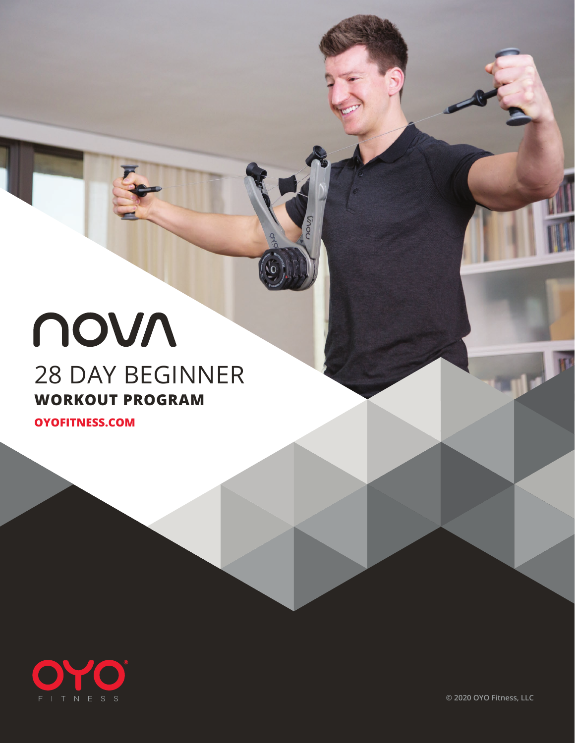## novn 28 DAY BEGINNER **WORKOUT PROGRAM**

28 DAY BEGINNER PROGRAM **OYOFITNESS.COM**



**© 2020 OYO Fitness, LLC**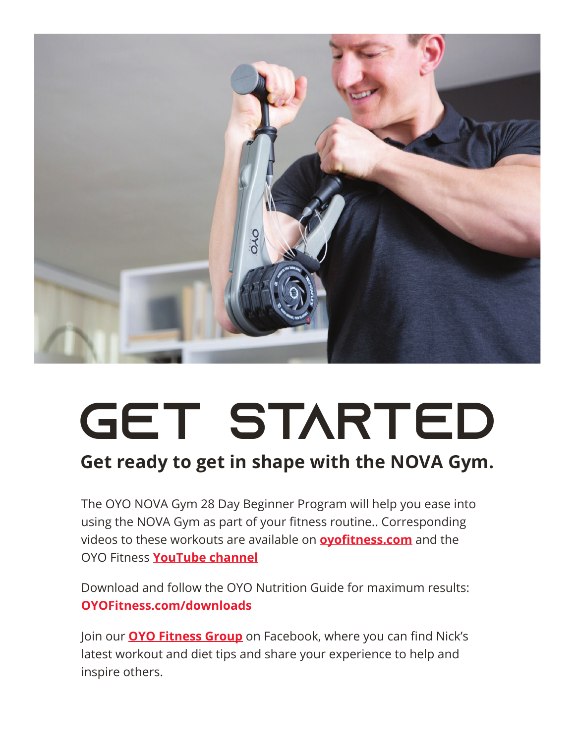

# GET STARTED

#### **Get ready to get in shape with the NOVA Gym.**

The OYO NOVA Gym 28 Day Beginner Program will help you ease into using the NOVA Gym as part of your fitness routine.. Corresponding videos to these workouts are available on **oyofitness.com** and the OYO Fitness **YouTube channel**.

Download and follow the OYO Nutrition Guide for maximum results: **OYOFitness.com/downloads**

Join our **OYO Fitness Group** on Facebook, where you can find Nick's latest workout and diet tips and share your experience to help and inspire others.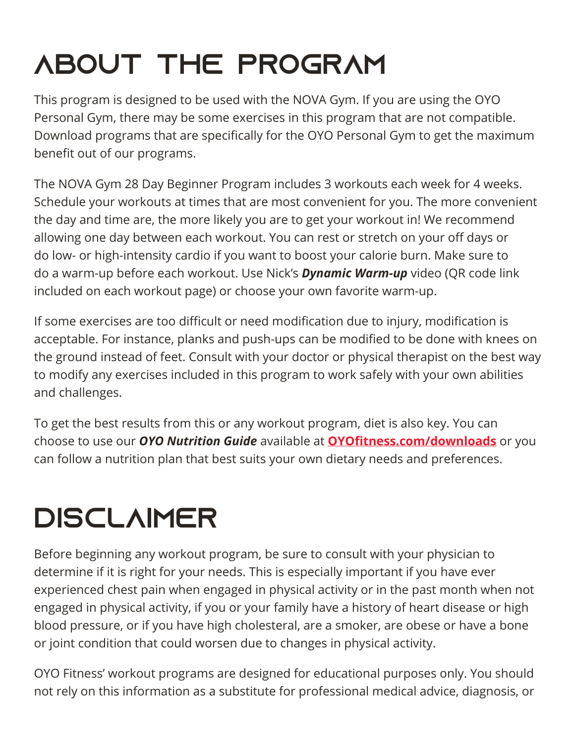# ABOUT THE PROGRAM

This program is designed to be used with the NOVA Gym. If you are using the OYO Personal Gym, there may be some exercises in this program that are not compatible. Download programs that are specifically for the OYO Personal Gym to get the maximum benefit out of our programs.

The NOVA Gym 28 Day Beginner Program includes 3 workouts each week for 4 weeks. Schedule your workouts at times that are most convenient for you. The more convenient the day and time are, the more likely you are to get your workout in! We recommend allowing one day between each workout. You can rest or stretch on your off days or do low- or high-intensity cardio if you want to boost your calorie burn. Make sure to do a warm-up before each workout. Use Nick's *Dynamic Warm-up* video (QR code link included on each workout page) or choose your own favorite warm-up.

If some exercises are too difficult or need modification due to injury, modification is acceptable. For instance, planks and push-ups can be modified to be done with knees on the ground instead of feet. Consult with your doctor or physical therapist on the best way to modify any exercises included in this program to work safely with your own abilities and challenges.

To get the best results from this or any workout program, diet is also key. You can choose to use our *OYO Nutrition Guide* available at **OYOfitness.com/downloads** or you can follow a nutrition plan that best suits your own dietary needs and preferences.

# **DISCLAIMER**

Before beginning any workout program, be sure to consult with your physician to determine if it is right for your needs. This is especially important if you have ever experienced chest pain when engaged in physical activity or in the past month when not engaged in physical activity, if you or your family have a history of heart disease or high blood pressure, or if you have high cholesteral, are a smoker, are obese or have a bone or joint condition that could worsen due to changes in physical activity.

OYO Fitness' workout programs are designed for educational purposes only. You should not rely on this information as a substitute for professional medical advice, diagnosis, or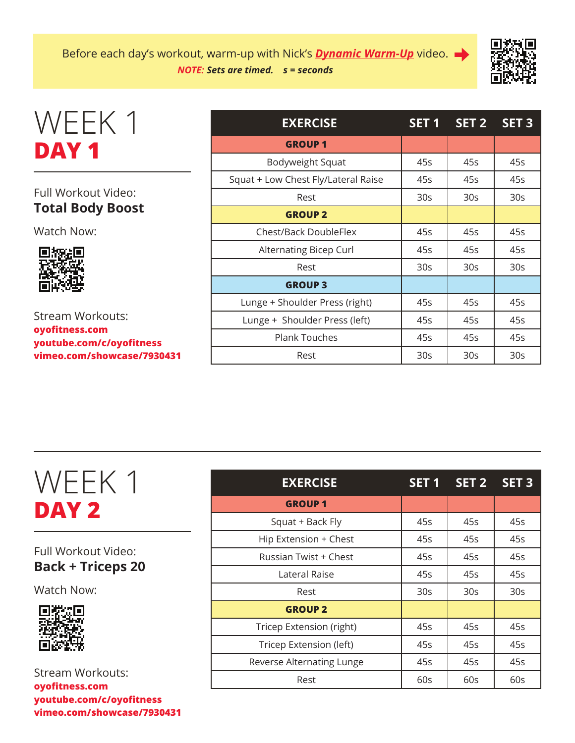

### WEEK 1 **DAY 1**

#### Full Workout Video: **Total Body Boost**

Watch Now:



Stream Workouts: **oyofitness.com youtube.com/c/oyofitness vimeo.com/showcase/7930431**

| <b>EXERCISE</b>                     | SET <sub>1</sub> | SET 2           | $SET$ 3         |
|-------------------------------------|------------------|-----------------|-----------------|
| <b>GROUP 1</b>                      |                  |                 |                 |
| Bodyweight Squat                    | 45s              | 45s             | 45s             |
| Squat + Low Chest Fly/Lateral Raise | 45s              | 45s             | 45s             |
| Rest                                | 30 <sub>S</sub>  | 30 <sub>S</sub> | 30 <sub>S</sub> |
| <b>GROUP 2</b>                      |                  |                 |                 |
| <b>Chest/Back DoubleFlex</b>        | 45s              | 45s             | 45s             |
| Alternating Bicep Curl              | 45s              | 45s             | 45s             |
| Rest                                | 30 <sub>S</sub>  | 30 <sub>S</sub> | 30 <sub>S</sub> |
| <b>GROUP 3</b>                      |                  |                 |                 |
| Lunge + Shoulder Press (right)      | 45s              | 45s             | 45s             |
| Lunge + Shoulder Press (left)       | 45s              | 45s             | 45s             |
| <b>Plank Touches</b>                | 45s              | 45s             | 45s             |
| Rest                                | 30 <sub>S</sub>  | 30 <sub>S</sub> | 30 <sub>S</sub> |

### WEEK 1 **DAY 2**

Full Workout Video: **Back + Triceps 20**

Watch Now:



| <b>EXERCISE</b>           | SET <sub>1</sub> | SET <sub>2</sub> | SET <sub>3</sub> |
|---------------------------|------------------|------------------|------------------|
| <b>GROUP 1</b>            |                  |                  |                  |
| Squat + Back Fly          | 45s              | 45s              | 45s              |
| Hip Extension + Chest     | 45s              | 45s              | 45s              |
| Russian Twist + Chest     | 45s              | 45s              | 45s              |
| Lateral Raise             | 45s              | 45s              | 45s              |
| Rest                      | 30 <sub>S</sub>  | 30 <sub>S</sub>  | 30 <sub>S</sub>  |
| <b>GROUP 2</b>            |                  |                  |                  |
| Tricep Extension (right)  | 45s              | 45s              | 45s              |
| Tricep Extension (left)   | 45s              | 45s              | 45s              |
| Reverse Alternating Lunge | 45s              | 45s              | 45s              |
| Rest                      | 60s              | 60s              | 60s              |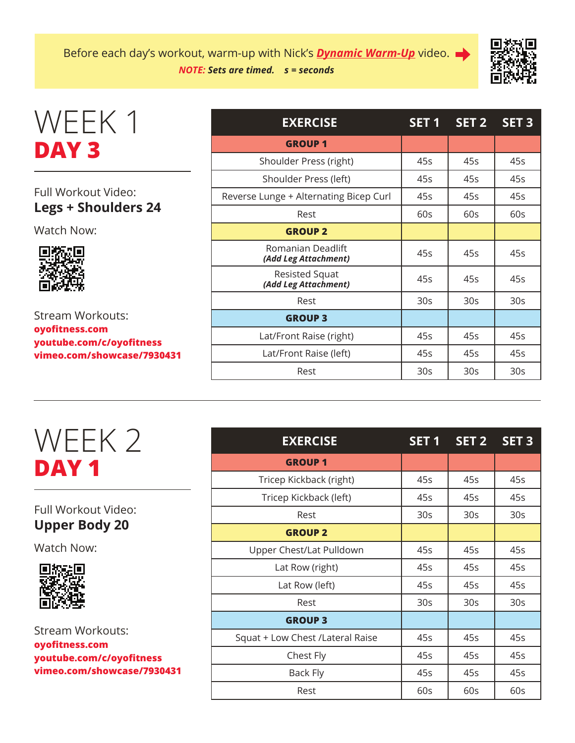

### WEEK 1 **DAY 3**

#### Full Workout Video: **Legs + Shoulders 24**

Watch Now:



Stream Workouts: **oyofitness.com youtube.com/c/oyofitness vimeo.com/showcase/7930431**

| <b>EXERCISE</b>                           | SET <sub>1</sub> | SET <sub>2</sub> | SET <sub>3</sub> |
|-------------------------------------------|------------------|------------------|------------------|
| <b>GROUP1</b>                             |                  |                  |                  |
| Shoulder Press (right)                    | 45s              | 45s              | 45s              |
| Shoulder Press (left)                     | 45s              | 45s              | 45s              |
| Reverse Lunge + Alternating Bicep Curl    | 45s              | 45s              | 45s              |
| Rest                                      | 60s              | 60s              | 60s              |
| <b>GROUP 2</b>                            |                  |                  |                  |
| Romanian Deadlift<br>(Add Leg Attachment) | 45s              | 45s              | 45s              |
| Resisted Squat<br>(Add Leg Attachment)    | 45s              | 45s              | 45s              |
| Rest                                      | 30 <sub>S</sub>  | 30 <sub>S</sub>  | 30 <sub>S</sub>  |
| <b>GROUP 3</b>                            |                  |                  |                  |
| Lat/Front Raise (right)                   | 45s              | 45s              | 45s              |
| Lat/Front Raise (left)                    | 45s              | 45s              | 45s              |
| Rest                                      | 30 <sub>S</sub>  | 30 <sub>S</sub>  | 30s              |

### WEEK 2 **DAY 1**

#### Full Workout Video: **Upper Body 20**

Watch Now:



| <b>EXERCISE</b>                   | SET <sub>1</sub> | SET 2 SET 3     |                 |
|-----------------------------------|------------------|-----------------|-----------------|
| <b>GROUP1</b>                     |                  |                 |                 |
| Tricep Kickback (right)           | 45s              | 45s             | 45s             |
| Tricep Kickback (left)            | 45s              | 45s             | 45s             |
| Rest                              | 30 <sub>S</sub>  | 30 <sub>S</sub> | 30 <sub>S</sub> |
| <b>GROUP 2</b>                    |                  |                 |                 |
| Upper Chest/Lat Pulldown          | 45s              | 45s             | 45s             |
| Lat Row (right)                   | 45s              | 45s             | 45s             |
| Lat Row (left)                    | 45s              | 45s             | 45s             |
| Rest                              | 30 <sub>S</sub>  | 30 <sub>S</sub> | 30 <sub>S</sub> |
| <b>GROUP 3</b>                    |                  |                 |                 |
| Squat + Low Chest / Lateral Raise | 45s              | 45s             | 45s             |
| Chest Fly                         | 45s              | 45s             | 45s             |
| Back Fly                          | 45s              | 45s             | 45s             |
| Rest                              | 60s              | 60s             | 60s             |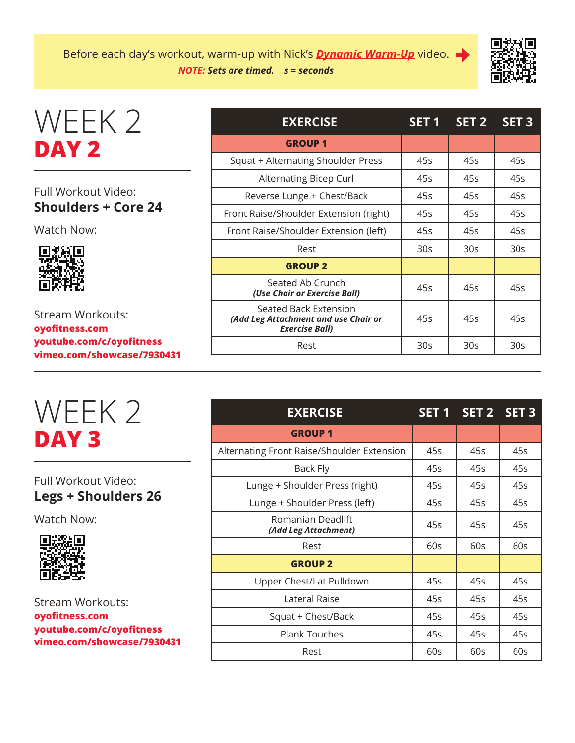Before each day's workout, warm-up with Nick's *Dynamic Warm-Up* video. *NOTE: Sets are timed. s = seconds*



### WEEK 2 **DAY 2**

#### Full Workout Video: **Shoulders + Core 24**

Watch Now:



Stream Workouts: **oyofitness.com youtube.com/c/oyofitness vimeo.com/showcase/7930431**



#### Full Workout Video: **Legs + Shoulders 26**

Watch Now:



| <b>EXERCISE</b>                                                                        | SET <sub>1</sub> | SET <sub>2</sub> | <b>SET 3</b>    |
|----------------------------------------------------------------------------------------|------------------|------------------|-----------------|
| <b>GROUP1</b>                                                                          |                  |                  |                 |
| Squat + Alternating Shoulder Press                                                     | 45s              | 45s              | 45s             |
| Alternating Bicep Curl                                                                 | 45s              | 45s              | 45s             |
| Reverse Lunge + Chest/Back                                                             | 45s              | 45s              | 45s             |
| Front Raise/Shoulder Extension (right)                                                 | 45s              | 45s              | 45s             |
| Front Raise/Shoulder Extension (left)                                                  | 45s              | 45s              | 45s             |
| Rest                                                                                   | 30 <sub>S</sub>  | 30 <sub>S</sub>  | 30 <sub>S</sub> |
| <b>GROUP 2</b>                                                                         |                  |                  |                 |
| Seated Ab Crunch<br>(Use Chair or Exercise Ball)                                       | 45s              | 45s              | 45s             |
| Seated Back Extension<br>(Add Leg Attachment and use Chair or<br><b>Exercise Ball)</b> | 45s              | 45s              | 45s             |
| Rest                                                                                   | 30 <sub>S</sub>  | 30 <sub>S</sub>  | 30 <sub>S</sub> |

| <b>EXERCISE</b>                            | SET <sub>1</sub> | SET 2 SET 3 |     |
|--------------------------------------------|------------------|-------------|-----|
| <b>GROUP1</b>                              |                  |             |     |
| Alternating Front Raise/Shoulder Extension | 45s              | 45s         | 45s |
| Back Fly                                   | 45s              | 45s         | 45s |
| Lunge + Shoulder Press (right)             | 45s              | 45s         | 45s |
| Lunge + Shoulder Press (left)              | 45s              | 45s         | 45s |
| Romanian Deadlift<br>(Add Leg Attachment)  | 45s              | 45s         | 45s |
| Rest                                       | 60s              | 60s         | 60s |
| <b>GROUP 2</b>                             |                  |             |     |
| Upper Chest/Lat Pulldown                   | 45s              | 45s         | 45s |
| Lateral Raise                              | 45s              | 45s         | 45s |
| Squat + Chest/Back                         | 45s              | 45s         | 45s |
| <b>Plank Touches</b>                       | 45s              | 45s         | 45s |
| Rest                                       | 60s              | 60s         | 60s |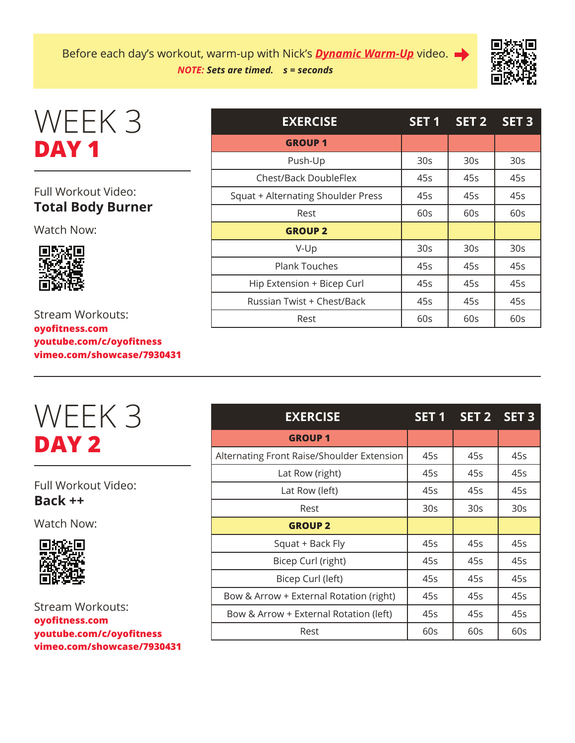

### WEEK 3 **DAY 1**

#### Full Workout Video: **Total Body Burner**

Watch Now:



Stream Workouts: **oyofitness.com youtube.com/c/oyofitness vimeo.com/showcase/7930431**

### WEEK 3 **DAY 2**

Full Workout Video: **Back ++**

Watch Now:



| <b>EXERCISE</b>                    | SET <sub>1</sub> | SET <sub>2</sub> | SET <sub>3</sub> |
|------------------------------------|------------------|------------------|------------------|
| <b>GROUP1</b>                      |                  |                  |                  |
| Push-Up                            | 30 <sub>S</sub>  | 30 <sub>S</sub>  | 30 <sub>S</sub>  |
| Chest/Back DoubleFlex              | 45s              | 45s              | 45s              |
| Squat + Alternating Shoulder Press | 45s              | 45s              | 45s              |
| Rest                               | 60s              | 60s              | 60s              |
| <b>GROUP 2</b>                     |                  |                  |                  |
| $V-Up$                             | 30 <sub>S</sub>  | 30 <sub>S</sub>  | 30 <sub>s</sub>  |
| <b>Plank Touches</b>               | 45s              | 45s              | 45s              |
| Hip Extension + Bicep Curl         | 45s              | 45s              | 45s              |
| Russian Twist + Chest/Back         | 45s              | 45s              | 45s              |
| Rest                               | 60s              | 60s              | 60s              |

| <b>EXERCISE</b>                            | SET <sub>1</sub> | SET <sub>2</sub> | SET <sub>3</sub> |
|--------------------------------------------|------------------|------------------|------------------|
| <b>GROUP1</b>                              |                  |                  |                  |
| Alternating Front Raise/Shoulder Extension | 45s              | 45s              | 45s              |
| Lat Row (right)                            | 45s              | 45s              | 45s              |
| Lat Row (left)                             | 45s              | 45s              | 45s              |
| Rest                                       | 30 <sub>S</sub>  | 30 <sub>S</sub>  | 30 <sub>S</sub>  |
| <b>GROUP 2</b>                             |                  |                  |                  |
| Squat + Back Fly                           | 45s              | 45s              | 45s              |
| Bicep Curl (right)                         | 45s              | 45s              | 45s              |
| Bicep Curl (left)                          | 45s              | 45s              | 45s              |
| Bow & Arrow + External Rotation (right)    | 45s              | 45s              | 45s              |
| Bow & Arrow + External Rotation (left)     | 45s              | 45s              | 45s              |
| Rest                                       | 60s              | 60s              | 60s              |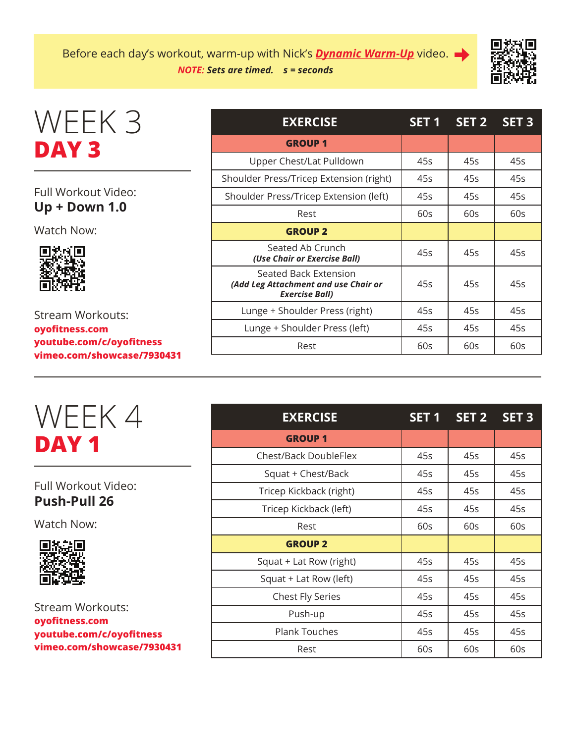Before each day's workout, warm-up with Nick's *Dynamic Warm-Up* video. *NOTE: Sets are timed. s = seconds*



### WEEK 3 **DAY 3**

#### Full Workout Video: **Up + Down 1.0**

Watch Now:



Stream Workouts: **oyofitness.com youtube.com/c/oyofitness vimeo.com/showcase/7930431**

| <b>EXERCISE</b>                                                                        | SET <sub>1</sub> | SET <sub>2</sub> | SET <sub>3</sub> |
|----------------------------------------------------------------------------------------|------------------|------------------|------------------|
| <b>GROUP1</b>                                                                          |                  |                  |                  |
| Upper Chest/Lat Pulldown                                                               | 45s              | 45s              | 45s              |
| Shoulder Press/Tricep Extension (right)                                                | 45s              | 45s              | 45s              |
| Shoulder Press/Tricep Extension (left)                                                 | 45s              | 45s              | 45s              |
| Rest                                                                                   | 60s              | 60s              | 60s              |
| <b>GROUP 2</b>                                                                         |                  |                  |                  |
| Seated Ab Crunch<br>(Use Chair or Exercise Ball)                                       | 45s              | 45s              | 45s              |
| Seated Back Extension<br>(Add Leg Attachment and use Chair or<br><b>Exercise Ball)</b> | 45s              | 45s              | 45s              |
| Lunge + Shoulder Press (right)                                                         | 45s              | 45s              | 45s              |
| Lunge + Shoulder Press (left)                                                          | 45s              | 45s              | 45s              |
| Rest                                                                                   | 60s              | 60s              | 60s              |

| WEEK4 |  |
|-------|--|
| DAY 1 |  |

Full Workout Video: **Push-Pull 26**

Watch Now:



| <b>EXERCISE</b>              | SET <sub>1</sub> | SET <sub>2</sub> | SET <sub>3</sub> |
|------------------------------|------------------|------------------|------------------|
| <b>GROUP 1</b>               |                  |                  |                  |
| <b>Chest/Back DoubleFlex</b> | 45s              | 45s              | 45s              |
| Squat + Chest/Back           | 45s              | 45s              | 45s              |
| Tricep Kickback (right)      | 45s              | 45s              | 45s              |
| Tricep Kickback (left)       | 45s              | 45s              | 45s              |
| Rest                         | 60s              | 60s              | 60s              |
| <b>GROUP 2</b>               |                  |                  |                  |
| Squat + Lat Row (right)      | 45s              | 45s              | 45s              |
| Squat + Lat Row (left)       | 45s              | 45s              | 45s              |
| <b>Chest Fly Series</b>      | 45s              | 45s              | 45s              |
| Push-up                      | 45s              | 45s              | 45s              |
| <b>Plank Touches</b>         | 45s              | 45s              | 45s              |
| Rest                         | 60s              | 60s              | 60s              |